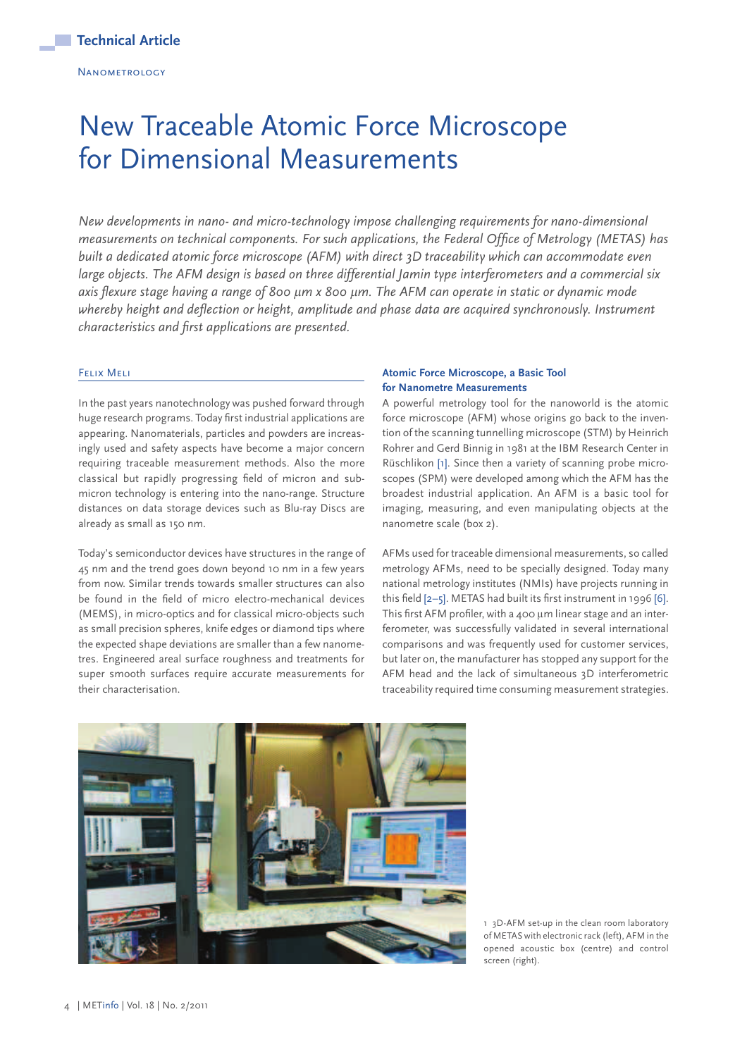# New Traceable Atomic Force Microscope for Dimensional Measurements

*New developments in nano- and micro-technology impose challenging requirements for nano-dimensional measurements on technical components. For such applications, the Federal Office of Metrology (METAS) has built a dedicated atomic force microscope (AFM) with direct 3D traceability which can accommodate even large objects. The AFM design is based on three differential Jamin type interferometers and a commercial six axis flexure stage having a range of 800* µ*m x 800* µ*m. The AFM can operate in static or dynamic mode whereby height and deflection or height, amplitude and phase data are acquired synchronously. Instrument characteristics and first applications are presented.*

#### Felix Meli

In the past years nanotechnology was pushed forward through huge research programs. Today first industrial applications are appearing. Nanomaterials, particles and powders are increasingly used and safety aspects have become a major concern requiring traceable measurement methods. Also the more classical but rapidly progressing field of micron and submicron technology is entering into the nano-range. Structure distances on data storage devices such as Blu-ray Discs are already as small as 150 nm.

Today's semiconductor devices have structures in the range of 45 nm and the trend goes down beyond 10 nm in a few years from now. Similar trends towards smaller structures can also be found in the field of micro electro-mechanical devices (MEMS), in micro-optics and for classical micro-objects such as small precision spheres, knife edges or diamond tips where the expected shape deviations are smaller than a few nanometres. Engineered areal surface roughness and treatments for super smooth surfaces require accurate measurements for their characterisation.

## **Atomic Force Microscope, a Basic Tool for Nanometre Measurements**

A powerful metrology tool for the nanoworld is the atomic force microscope (AFM) whose origins go back to the invention of the scanning tunnelling microscope (STM) by Heinrich Rohrer and Gerd Binnig in 1981 at the IBM Research Center in Rüschlikon [1]. Since then a variety of scanning probe microscopes (SPM) were developed among which the AFM has the broadest industrial application. An AFM is a basic tool for imaging, measuring, and even manipulating objects at the nanometre scale (box 2).

AFMs used for traceable dimensional measurements, so called metrology AFMs, need to be specially designed. Today many national metrology institutes (NMIs) have projects running in this field [2–5]. METAS had built its first instrument in 1996 [6]. This first AFM profiler, with a 400 um linear stage and an interferometer, was successfully validated in several international comparisons and was frequently used for customer services, but later on, the manufacturer has stopped any support for the AFM head and the lack of simultaneous 3D interferometric traceability required time consuming measurement strategies.



1 3D-AFM set-up in the clean room laboratory of METAS with electronic rack (left), AFM in the opened acoustic box (centre) and control screen (right).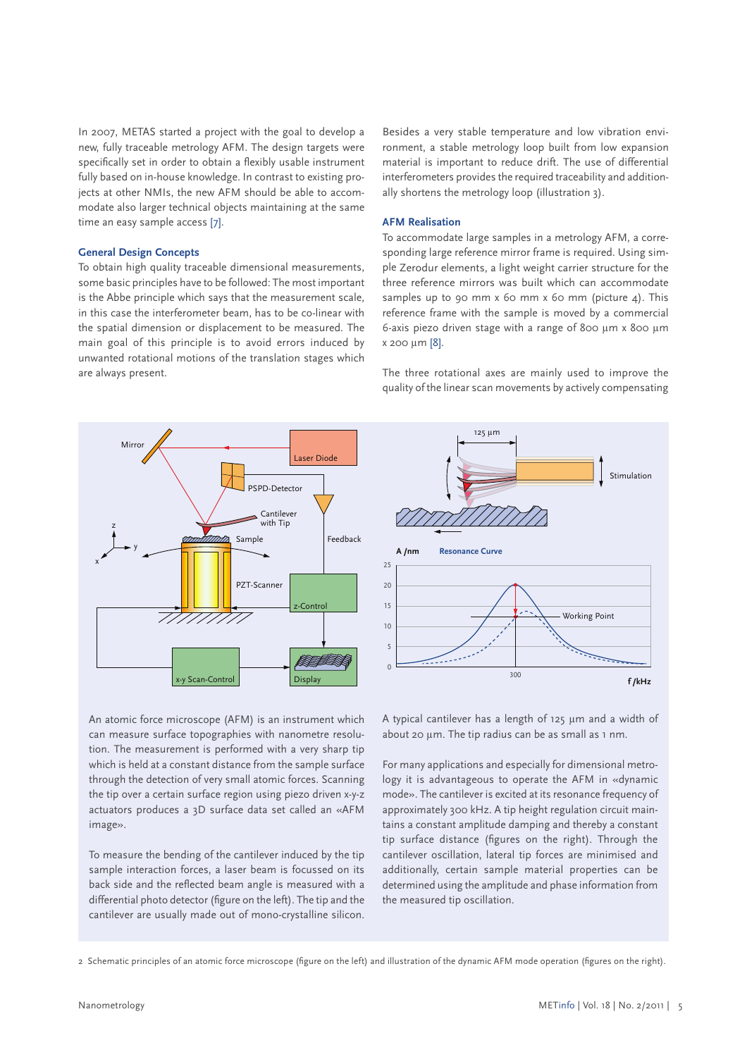In 2007, METAS started a project with the goal to develop a new, fully traceable metrology AFM. The design targets were specifically set in order to obtain a flexibly usable instrument fully based on in-house knowledge. In contrast to existing projects at other NMIs, the new AFM should be able to accommodate also larger technical objects maintaining at the same time an easy sample access [7].

#### **General Design Concepts**

To obtain high quality traceable dimensional measurements, some basic principles have to be followed: The most important is the Abbe principle which says that the measurement scale, in this case the interferometer beam, has to be co-linear with the spatial dimension or displacement to be measured. The main goal of this principle is to avoid errors induced by unwanted rotational motions of the translation stages which are always present.

Besides a very stable temperature and low vibration environment, a stable metrology loop built from low expansion material is important to reduce drift. The use of differential interferometers provides the required traceability and additionally shortens the metrology loop (illustration 3).

#### **AFM Realisation**

To accommodate large samples in a metrology AFM, a corresponding large reference mirror frame is required. Using simple Zerodur elements, a light weight carrier structure for the three reference mirrors was built which can accommodate samples up to 90 mm x 60 mm x 60 mm (picture 4). This reference frame with the sample is moved by a commercial 6-axis piezo driven stage with a range of 800 µm x 800 µm x 200 µm [8].

The three rotational axes are mainly used to improve the quality of the linear scan movements by actively compensating

125 µm



Working Point 25 20 15 10 5  $\overline{0}$ **A /nm f /kHz** 300 Stimulation **Resonance Curve**

An atomic force microscope (AFM) is an instrument which can measure surface topographies with nanometre resolution. The measurement is performed with a very sharp tip which is held at a constant distance from the sample surface through the detection of very small atomic forces. Scanning the tip over a certain surface region using piezo driven x-y-z actuators produces a 3D surface data set called an «AFM image».

To measure the bending of the cantilever induced by the tip sample interaction forces, a laser beam is focussed on its back side and the reflected beam angle is measured with a differential photo detector (figure on the left). The tip and the cantilever are usually made out of mono-crystalline silicon.

A typical cantilever has a length of 125 µm and a width of about 20 µm. The tip radius can be as small as 1 nm.

For many applications and especially for dimensional metrology it is advantageous to operate the AFM in «dynamic mode». The cantilever is excited at its resonance frequency of approximately 300 kHz. A tip height regulation circuit maintains a constant amplitude damping and thereby a constant tip surface distance (figures on the right). Through the cantilever oscillation, lateral tip forces are minimised and additionally, certain sample material properties can be determined using the amplitude and phase information from the measured tip oscillation.

2 Schematic principles of an atomic force microscope (figure on the left) and illustration of the dynamic AFM mode operation (figures on the right).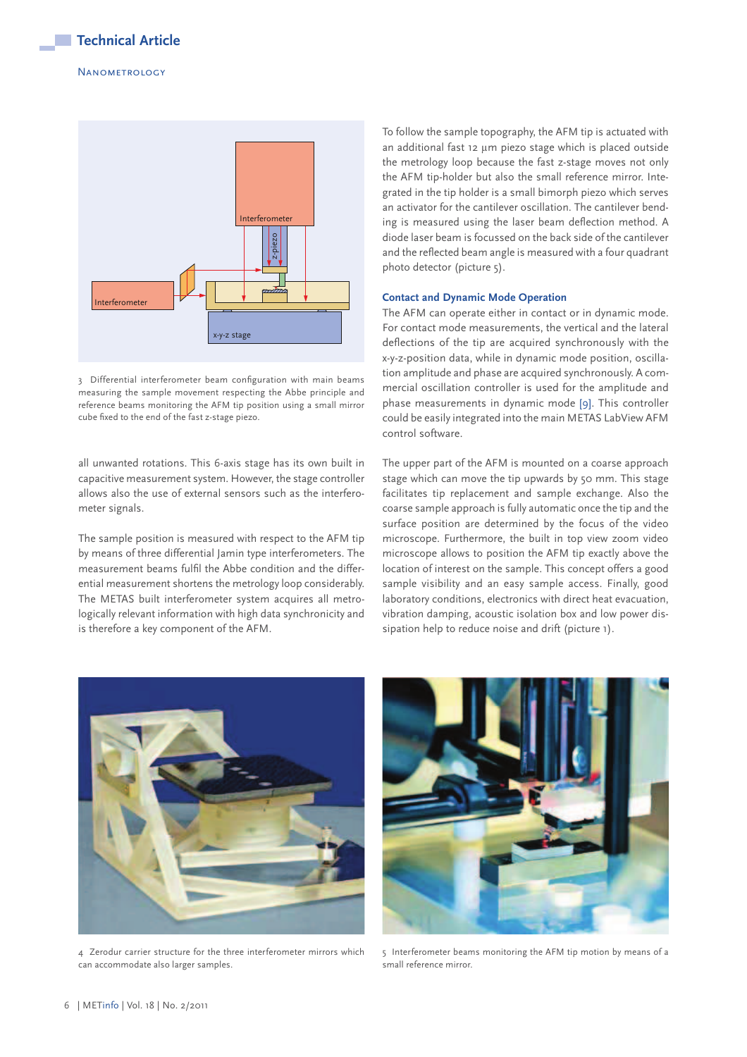

3 Differential interferometer beam configuration with main beams measuring the sample movement respecting the Abbe principle and reference beams monitoring the AFM tip position using a small mirror cube fixed to the end of the fast z-stage piezo.

all unwanted rotations. This 6-axis stage has its own built in capacitive measurement system. However, the stage controller allows also the use of external sensors such as the interferometer signals.

The sample position is measured with respect to the AFM tip by means of three differential Jamin type interferometers. The measurement beams fulfil the Abbe condition and the differential measurement shortens the metrology loop considerably. The METAS built interferometer system acquires all metrologically relevant information with high data synchronicity and is therefore a key component of the AFM.

To follow the sample topography, the AFM tip is actuated with an additional fast 12 um piezo stage which is placed outside the metrology loop because the fast z-stage moves not only the AFM tip-holder but also the small reference mirror. Integrated in the tip holder is a small bimorph piezo which serves an activator for the cantilever oscillation. The cantilever bending is measured using the laser beam deflection method. A diode laser beam is focussed on the back side of the cantilever and the reflected beam angle is measured with a four quadrant photo detector (picture 5).

#### **Contact and Dynamic Mode Operation**

The AFM can operate either in contact or in dynamic mode. For contact mode measurements, the vertical and the lateral deflections of the tip are acquired synchronously with the x-y-z-position data, while in dynamic mode position, oscillation amplitude and phase are acquired synchronously. A commercial oscillation controller is used for the amplitude and phase measurements in dynamic mode [9]. This controller could be easily integrated into the main METAS LabView AFM control software.

The upper part of the AFM is mounted on a coarse approach stage which can move the tip upwards by 50 mm. This stage facilitates tip replacement and sample exchange. Also the coarse sample approach is fully automatic once the tip and the surface position are determined by the focus of the video microscope. Furthermore, the built in top view zoom video microscope allows to position the AFM tip exactly above the location of interest on the sample. This concept offers a good sample visibility and an easy sample access. Finally, good laboratory conditions, electronics with direct heat evacuation, vibration damping, acoustic isolation box and low power dissipation help to reduce noise and drift (picture 1).



4 Zerodur carrier structure for the three interferometer mirrors which can accommodate also larger samples.



5 Interferometer beams monitoring the AFM tip motion by means of a small reference mirror.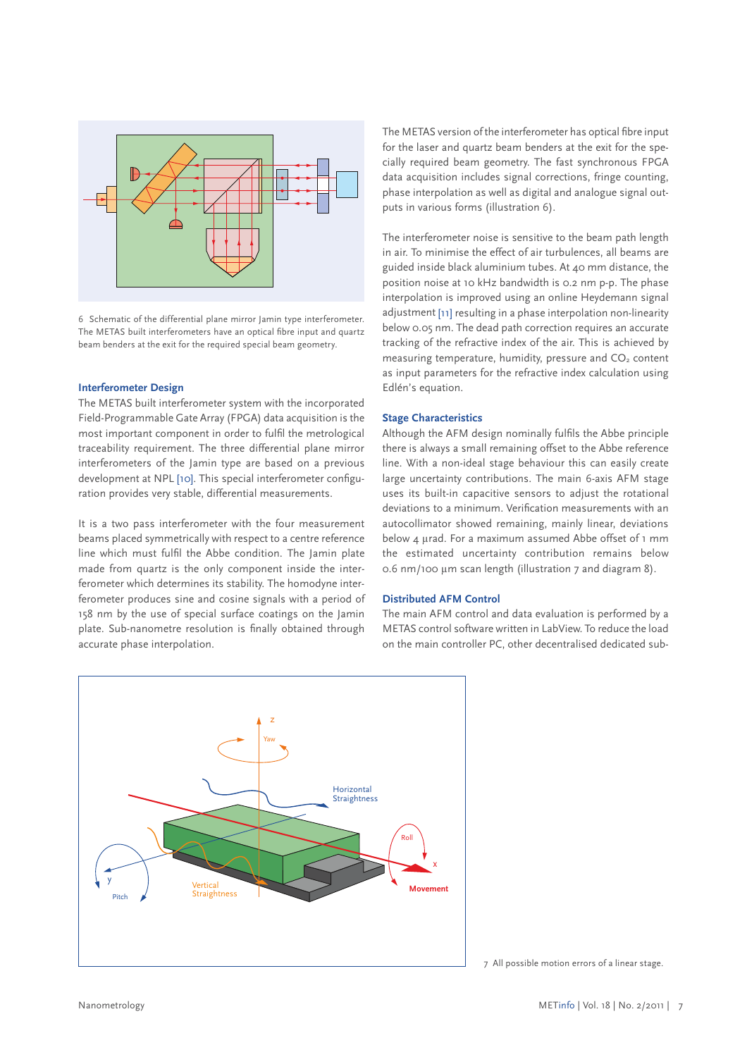

6 Schematic of the differential plane mirror Jamin type interferometer. The METAS built interferometers have an optical fibre input and quartz beam benders at the exit for the required special beam geometry.

#### **Interferometer Design**

The METAS built interferometer system with the incorporated Field-Programmable Gate Array (FPGA) data acquisition is the most important component in order to fulfil the metrological traceability requirement. The three differential plane mirror interferometers of the Jamin type are based on a previous development at NPL [10]. This special interferometer configuration provides very stable, differential measurements.

It is a two pass interferometer with the four measurement beams placed symmetrically with respect to a centre reference line which must fulfil the Abbe condition. The Jamin plate made from quartz is the only component inside the interferometer which determines its stability. The homodyne interferometer produces sine and cosine signals with a period of 158 nm by the use of special surface coatings on the Jamin plate. Sub-nanometre resolution is finally obtained through accurate phase interpolation.

The METAS version of the interferometer has optical fibre input for the laser and quartz beam benders at the exit for the specially required beam geometry. The fast synchronous FPGA data acquisition includes signal corrections, fringe counting, phase interpolation as well as digital and analogue signal outputs in various forms (illustration 6).

The interferometer noise is sensitive to the beam path length in air. To minimise the effect of air turbulences, all beams are guided inside black aluminium tubes. At 40 mm distance, the position noise at 10 kHz bandwidth is 0.2 nm p-p. The phase interpolation is improved using an online Heydemann signal adjustment [11] resulting in a phase interpolation non-linearity below 0.05 nm. The dead path correction requires an accurate tracking of the refractive index of the air. This is achieved by measuring temperature, humidity, pressure and  $CO<sub>2</sub>$  content as input parameters for the refractive index calculation using Edlén's equation.

## **Stage Characteristics**

Although the AFM design nominally fulfils the Abbe principle there is always a small remaining offset to the Abbe reference line. With a non-ideal stage behaviour this can easily create large uncertainty contributions. The main 6-axis AFM stage uses its built-in capacitive sensors to adjust the rotational deviations to a minimum. Verification measurements with an autocollimator showed remaining, mainly linear, deviations below 4 µrad. For a maximum assumed Abbe offset of 1 mm the estimated uncertainty contribution remains below 0.6 nm/100 µm scan length (illustration 7 and diagram 8).

#### **Distributed AFM Control**

The main AFM control and data evaluation is performed by a METAS control software written in LabView. To reduce the load on the main controller PC, other decentralised dedicated sub-



7 All possible motion errors of a linear stage.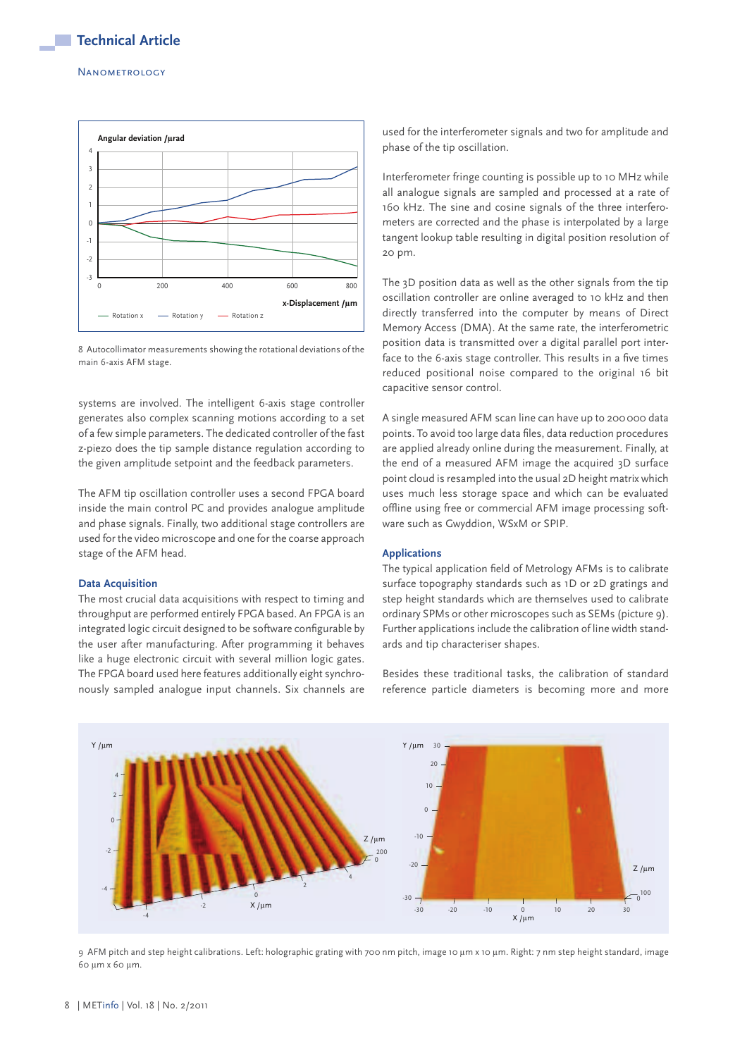#### **NANOMETROLOGY**



8 Autocollimator measurements showing the rotational deviations of the main 6-axis AFM stage.

systems are involved. The intelligent 6-axis stage controller generates also complex scanning motions according to a set of a few simple parameters. The dedicated controller of the fast z-piezo does the tip sample distance regulation according to the given amplitude setpoint and the feedback parameters.

The AFM tip oscillation controller uses a second FPGA board inside the main control PC and provides analogue amplitude and phase signals. Finally, two additional stage controllers are used for the video microscope and one for the coarse approach stage of the AFM head.

#### **Data Acquisition**

The most crucial data acquisitions with respect to timing and throughput are performed entirely FPGA based. An FPGA is an integrated logic circuit designed to be software configurable by the user after manufacturing. After programming it behaves like a huge electronic circuit with several million logic gates. The FPGA board used here features additionally eight synchronously sampled analogue input channels. Six channels are used for the interferometer signals and two for amplitude and phase of the tip oscillation.

Interferometer fringe counting is possible up to 10 MHz while all analogue signals are sampled and processed at a rate of 160 kHz. The sine and cosine signals of the three interferometers are corrected and the phase is interpolated by a large tangent lookup table resulting in digital position resolution of 20 pm.

The 3D position data as well as the other signals from the tip oscillation controller are online averaged to 10 kHz and then directly transferred into the computer by means of Direct Memory Access (DMA). At the same rate, the interferometric position data is transmitted over a digital parallel port interface to the 6-axis stage controller. This results in a five times reduced positional noise compared to the original 16 bit capacitive sensor control.

A single measured AFM scan line can have up to 200 000 data points. To avoid too large data files, data reduction procedures are applied already online during the measurement. Finally, at the end of a measured AFM image the acquired 3D surface point cloud is resampled into the usual 2D height matrix which uses much less storage space and which can be evaluated offline using free or commercial AFM image processing software such as Gwyddion, WSxM or SPIP.

#### **Applications**

The typical application field of Metrology AFMs is to calibrate surface topography standards such as 1D or 2D gratings and step height standards which are themselves used to calibrate ordinary SPMs or other microscopes such as SEMs (picture 9). Further applications include the calibration of line width standards and tip characteriser shapes.

Besides these traditional tasks, the calibration of standard re ference particle diameters is becoming more and more



9 AFM pitch and step height calibrations. Left: holographic grating with 700 nm pitch, image 10 µm x 10 µm. Right: 7 nm step height standard, image 60 µm x 60 µm.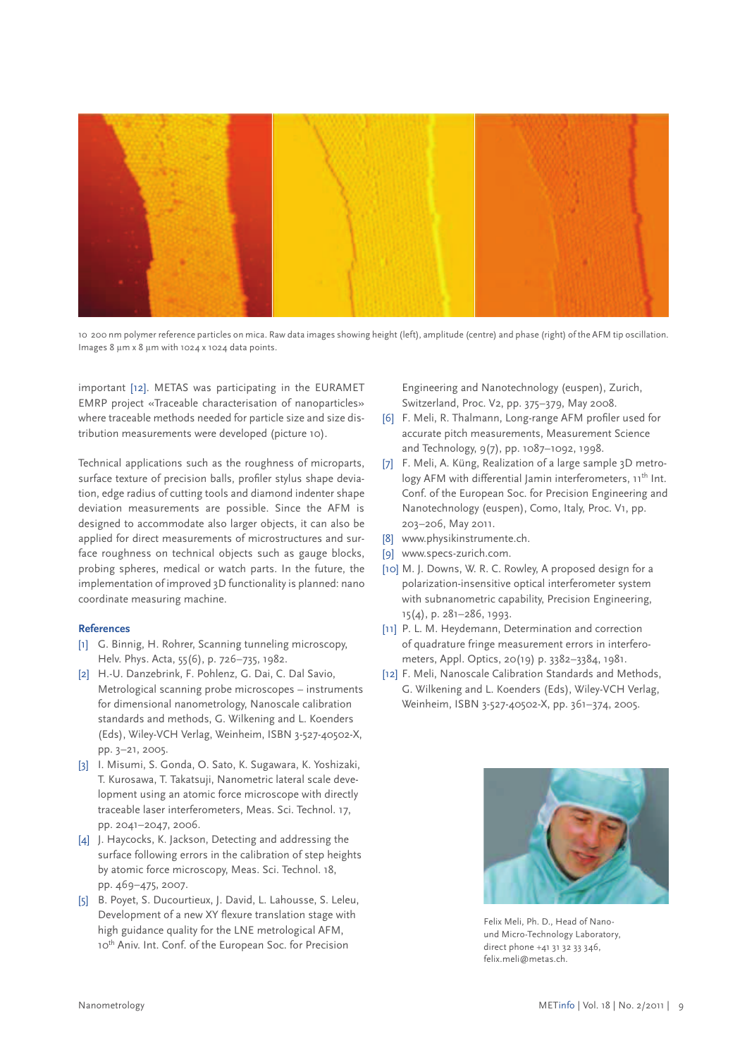

10 200 nm polymer reference particles on mica. Raw data images showing height (left), amplitude (centre) and phase (right) of the AFM tip oscillation. Images 8 µm x 8 µm with 1024 x 1024 data points.

important [12]. METAS was participating in the EURAMET EMRP project «Traceable characterisation of nanoparticles» where traceable methods needed for particle size and size distribution measurements were developed (picture 10).

Technical applications such as the roughness of microparts, surface texture of precision balls, profiler stylus shape deviation, edge radius of cutting tools and diamond indenter shape deviation measurements are possible. Since the AFM is designed to accommodate also larger objects, it can also be applied for direct measurements of microstructures and surface roughness on technical objects such as gauge blocks, probing spheres, medical or watch parts. In the future, the implementation of improved 3D functionality is planned: nano coordinate measuring machine.

## **References**

- [1] G. Binnig, H. Rohrer, Scanning tunneling microscopy, Helv. Phys. Acta, 55(6), p. 726–735, 1982.
- [2] H.-U. Danzebrink, F. Pohlenz, G. Dai, C. Dal Savio, Metrological scanning probe microscopes - instruments for dimensional nanometrology, Nanoscale calibration standards and methods, G. Wilkening and L. Koenders (Eds), Wiley-VCH Verlag, Weinheim, ISBN 3-527-40502-X, pp. 3–21, 2005.
- [3] I. Misumi, S. Gonda, O. Sato, K. Sugawara, K. Yoshizaki, T. Kurosawa, T. Takatsuji, Nanometric lateral scale development using an atomic force microscope with directly traceable laser interferometers, Meas. Sci. Technol. 17, pp. 2041–2047, 2006.
- [4] J. Haycocks, K. Jackson, Detecting and addressing the surface following errors in the calibration of step heights by atomic force microscopy, Meas. Sci. Technol. 18, pp. 469–475, 2007.
- [5] B. Poyet, S. Ducourtieux, J. David, L. Lahousse, S. Leleu, Development of a new XY flexure translation stage with high guidance quality for the LNE metrological AFM, 10<sup>th</sup> Aniv. Int. Conf. of the European Soc. for Precision

Engineering and Nanotechnology (euspen), Zurich, Switzerland, Proc. V2, pp. 375–379, May 2008.

- [6] F. Meli, R. Thalmann, Long-range AFM profiler used for accurate pitch measurements, Measurement Science and Technology, 9(7), pp. 1087–1092, 1998.
- [7] F. Meli, A. Küng, Realization of a large sample 3D metrology AFM with differential Jamin interferometers, 11<sup>th</sup> Int. Conf. of the European Soc. for Precision Engineering and Nanotechnology (euspen), Como, Italy, Proc. V1, pp. 203–206, May 2011.
- [8] www.physikinstrumente.ch.
- [9] www.specs-zurich.com.
- [10] M. J. Downs, W. R. C. Rowley, A proposed design for a polarization-insensitive optical interferometer system with subnanometric capability, Precision Engineering, 15(4), p. 281–286, 1993.
- [11] P. L. M. Heydemann, Determination and correction of quadrature fringe measurement errors in interferometers, Appl. Optics, 20(19) p. 3382–3384, 1981.
- [12] F. Meli, Nanoscale Calibration Standards and Methods, G. Wilkening and L. Koenders (Eds), Wiley-VCH Verlag, Weinheim, ISBN 3-527-40502-X, pp. 361–374, 2005.



Felix Meli, Ph. D., Head of Nanound Micro-Technology Laboratory, direct phone +41 31 32 33 346, felix.meli@metas.ch.